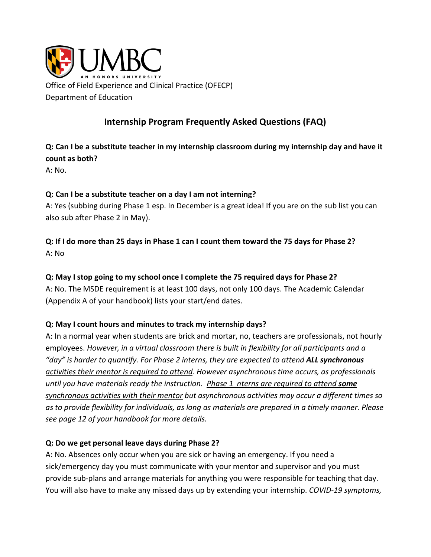

# **Internship Program Frequently Asked Questions (FAQ)**

**Q: Can I be a substitute teacher in my internship classroom during my internship day and have it count as both?**

A: No.

#### **Q: Can I be a substitute teacher on a day I am not interning?**

A: Yes (subbing during Phase 1 esp. In December is a great idea! If you are on the sub list you can also sub after Phase 2 in May).

## **Q: If I do more than 25 days in Phase 1 can I count them toward the 75 days for Phase 2?** A: No

#### **Q: May I stop going to my school once I complete the 75 required days for Phase 2?**

A: No. The MSDE requirement is at least 100 days, not only 100 days. The Academic Calendar (Appendix A of your handbook) lists your start/end dates.

#### **Q: May I count hours and minutes to track my internship days?**

A: In a normal year when students are brick and mortar, no, teachers are professionals, not hourly employees. *However, in a virtual classroom there is built in flexibility for all participants and a "day" is harder to quantify. For Phase 2 interns, they are expected to attend ALL synchronous activities their mentor is required to attend. However asynchronous time occurs, as professionals until you have materials ready the instruction. Phase 1 nterns are required to attend some synchronous activities with their mentor but asynchronous activities may occur a different times so as to provide flexibility for individuals, as long as materials are prepared in a timely manner. Please see page 12 of your handbook for more details.* 

#### **Q: Do we get personal leave days during Phase 2?**

A: No. Absences only occur when you are sick or having an emergency. If you need a sick/emergency day you must communicate with your mentor and supervisor and you must provide sub-plans and arrange materials for anything you were responsible for teaching that day. You will also have to make any missed days up by extending your internship. *COVID-19 symptoms,*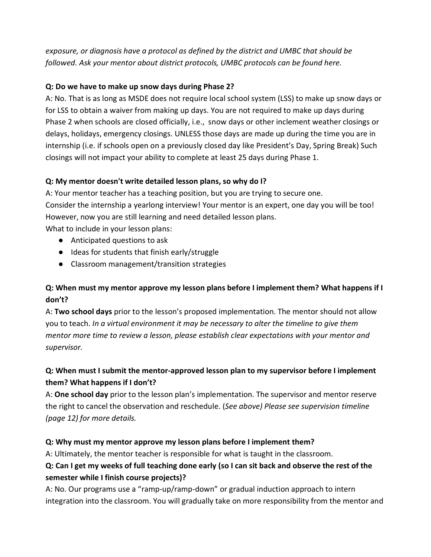*exposure, or diagnosis have a protocol as defined by the district and UMBC that should be followed. Ask your mentor about district protocols, UMBC protocols can be found here.* 

### **Q: Do we have to make up snow days during Phase 2?**

A: No. That is as long as MSDE does not require local school system (LSS) to make up snow days or for LSS to obtain a waiver from making up days. You are not required to make up days during Phase 2 when schools are closed officially, i.e., snow days or other inclement weather closings or delays, holidays, emergency closings. UNLESS those days are made up during the time you are in internship (i.e. if schools open on a previously closed day like President's Day, Spring Break) Such closings will not impact your ability to complete at least 25 days during Phase 1.

### **Q: My mentor doesn't write detailed lesson plans, so why do I?**

A: Your mentor teacher has a teaching position, but you are trying to secure one.

Consider the internship a yearlong interview! Your mentor is an expert, one day you will be too! However, now you are still learning and need detailed lesson plans.

What to include in your lesson plans:

- Anticipated questions to ask
- Ideas for students that finish early/struggle
- Classroom management/transition strategies

## **Q: When must my mentor approve my lesson plans before I implement them? What happens if I don't?**

A: **Two school days** prior to the lesson's proposed implementation. The mentor should not allow you to teach. *In a virtual environment it may be necessary to alter the timeline to give them mentor more time to review a lesson, please establish clear expectations with your mentor and supervisor.* 

# **Q: When must I submit the mentor-approved lesson plan to my supervisor before I implement them? What happens if I don't?**

A: **One school day** prior to the lesson plan's implementation. The supervisor and mentor reserve the right to cancel the observation and reschedule. (*See above) Please see supervision timeline (page 12) for more details.*

### **Q: Why must my mentor approve my lesson plans before I implement them?**

A: Ultimately, the mentor teacher is responsible for what is taught in the classroom.

# **Q: Can I get my weeks of full teaching done early (so I can sit back and observe the rest of the semester while I finish course projects)?**

A: No. Our programs use a "ramp-up/ramp-down" or gradual induction approach to intern integration into the classroom. You will gradually take on more responsibility from the mentor and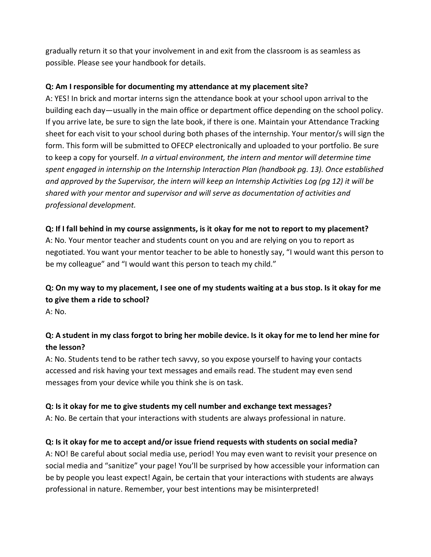gradually return it so that your involvement in and exit from the classroom is as seamless as possible. Please see your handbook for details.

### **Q: Am I responsible for documenting my attendance at my placement site?**

A: YES! In brick and mortar interns sign the attendance book at your school upon arrival to the building each day—usually in the main office or department office depending on the school policy. If you arrive late, be sure to sign the late book, if there is one. Maintain your Attendance Tracking sheet for each visit to your school during both phases of the internship. Your mentor/s will sign the form. This form will be submitted to OFECP electronically and uploaded to your portfolio. Be sure to keep a copy for yourself. *In a virtual environment, the intern and mentor will determine time spent engaged in internship on the Internship Interaction Plan (handbook pg. 13). Once established and approved by the Supervisor, the intern will keep an Internship Activities Log (pg 12) it will be shared with your mentor and supervisor and will serve as documentation of activities and professional development.* 

### **Q: If I fall behind in my course assignments, is it okay for me not to report to my placement?**

A: No. Your mentor teacher and students count on you and are relying on you to report as negotiated. You want your mentor teacher to be able to honestly say, "I would want this person to be my colleague" and "I would want this person to teach my child."

# **Q: On my way to my placement, I see one of my students waiting at a bus stop. Is it okay for me to give them a ride to school?**

A: No.

# **Q: A student in my class forgot to bring her mobile device. Is it okay for me to lend her mine for the lesson?**

A: No. Students tend to be rather tech savvy, so you expose yourself to having your contacts accessed and risk having your text messages and emails read. The student may even send messages from your device while you think she is on task.

### **Q: Is it okay for me to give students my cell number and exchange text messages?**

A: No. Be certain that your interactions with students are always professional in nature.

### **Q: Is it okay for me to accept and/or issue friend requests with students on social media?**

A: NO! Be careful about social media use, period! You may even want to revisit your presence on social media and "sanitize" your page! You'll be surprised by how accessible your information can be by people you least expect! Again, be certain that your interactions with students are always professional in nature. Remember, your best intentions may be misinterpreted!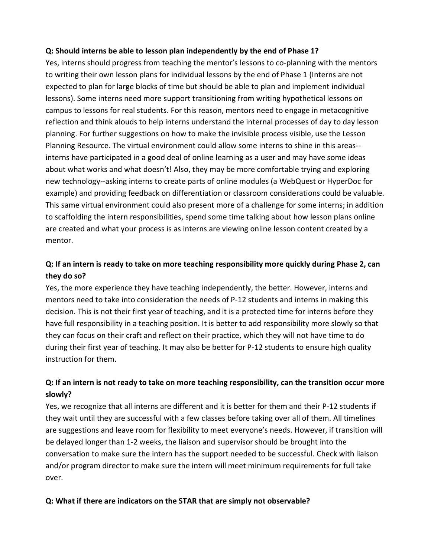#### **Q: Should interns be able to lesson plan independently by the end of Phase 1?**

Yes, interns should progress from teaching the mentor's lessons to co-planning with the mentors to writing their own lesson plans for individual lessons by the end of Phase 1 (Interns are not expected to plan for large blocks of time but should be able to plan and implement individual lessons). Some interns need more support transitioning from writing hypothetical lessons on campus to lessons for real students. For this reason, mentors need to engage in metacognitive reflection and think alouds to help interns understand the internal processes of day to day lesson planning. For further suggestions on how to make the invisible process visible, use the Lesson Planning Resource. The virtual environment could allow some interns to shine in this areas- interns have participated in a good deal of online learning as a user and may have some ideas about what works and what doesn't! Also, they may be more comfortable trying and exploring new technology--asking interns to create parts of online modules (a WebQuest or HyperDoc for example) and providing feedback on differentiation or classroom considerations could be valuable. This same virtual environment could also present more of a challenge for some interns; in addition to scaffolding the intern responsibilities, spend some time talking about how lesson plans online are created and what your process is as interns are viewing online lesson content created by a mentor.

# **Q: If an intern is ready to take on more teaching responsibility more quickly during Phase 2, can they do so?**

Yes, the more experience they have teaching independently, the better. However, interns and mentors need to take into consideration the needs of P-12 students and interns in making this decision. This is not their first year of teaching, and it is a protected time for interns before they have full responsibility in a teaching position. It is better to add responsibility more slowly so that they can focus on their craft and reflect on their practice, which they will not have time to do during their first year of teaching. It may also be better for P-12 students to ensure high quality instruction for them.

## **Q: If an intern is not ready to take on more teaching responsibility, can the transition occur more slowly?**

Yes, we recognize that all interns are different and it is better for them and their P-12 students if they wait until they are successful with a few classes before taking over all of them. All timelines are suggestions and leave room for flexibility to meet everyone's needs. However, if transition will be delayed longer than 1-2 weeks, the liaison and supervisor should be brought into the conversation to make sure the intern has the support needed to be successful. Check with liaison and/or program director to make sure the intern will meet minimum requirements for full take over.

#### **Q: What if there are indicators on the STAR that are simply not observable?**